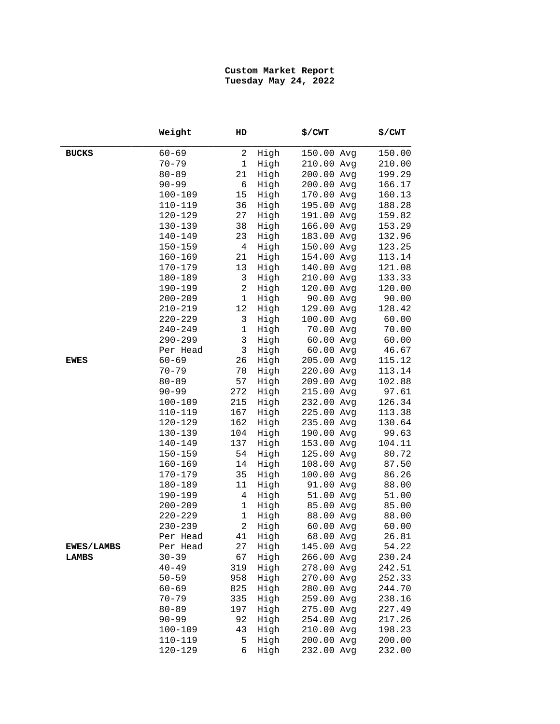## **Custom Market Report Tuesday May 24, 2022**

|                   | Weight      | HD             |      | \$/CWT     | \$/CWT |
|-------------------|-------------|----------------|------|------------|--------|
| <b>BUCKS</b>      | $60 - 69$   | 2              | High | 150.00 Avg | 150.00 |
|                   | $70 - 79$   | $1\,$          | High | 210.00 Avg | 210.00 |
|                   | $80 - 89$   | 21             | High | 200.00 Avg | 199.29 |
|                   | $90 - 99$   | 6              | High | 200.00 Avg | 166.17 |
|                   | $100 - 109$ | 15             | High | 170.00 Avg | 160.13 |
|                   | $110 - 119$ | 36             | High | 195.00 Avg | 188.28 |
|                   | $120 - 129$ | 27             | High | 191.00 Avg | 159.82 |
|                   | 130-139     | 38             | High | 166.00 Avg | 153.29 |
|                   | $140 - 149$ | 23             | High | 183.00 Avg | 132.96 |
|                   | $150 - 159$ | $\overline{4}$ | High | 150.00 Avg | 123.25 |
|                   | $160 - 169$ | 21             | High | 154.00 Avg | 113.14 |
|                   | 170-179     | 13             | High | 140.00 Avg | 121.08 |
|                   | 180-189     | 3              | High | 210.00 Avg | 133.33 |
|                   | 190-199     | $\overline{c}$ | High | 120.00 Avg | 120.00 |
|                   | $200 - 209$ | $\mathbf 1$    | High | 90.00 Avg  | 90.00  |
|                   | $210 - 219$ | 12             | High | 129.00 Avg | 128.42 |
|                   | $220 - 229$ | 3              | High | 100.00 Avg | 60.00  |
|                   | $240 - 249$ | $\mathbf 1$    | High | 70.00 Avg  | 70.00  |
|                   | $290 - 299$ | $\mathbf{3}$   | High | 60.00 Avg  | 60.00  |
|                   | Per Head    | $\mathbf{3}$   | High | 60.00 Avg  | 46.67  |
| <b>EWES</b>       | $60 - 69$   | 26             | High | 205.00 Avg | 115.12 |
|                   | $70 - 79$   | 70             | High | 220.00 Avg | 113.14 |
|                   | $80 - 89$   | 57             | High | 209.00 Avg | 102.88 |
|                   | $90 - 99$   | 272            | High | 215.00 Avg | 97.61  |
|                   | $100 - 109$ | 215            | High | 232.00 Avg | 126.34 |
|                   | $110 - 119$ | 167            | High | 225.00 Avg | 113.38 |
|                   | 120-129     | 162            | High | 235.00 Avg | 130.64 |
|                   | 130-139     | 104            | High | 190.00 Avg | 99.63  |
|                   | $140 - 149$ | 137            | High | 153.00 Avg | 104.11 |
|                   | $150 - 159$ | 54             | High | 125.00 Avg | 80.72  |
|                   | $160 - 169$ | 14             | High | 108.00 Avg | 87.50  |
|                   | 170-179     | 35             | High | 100.00 Avg | 86.26  |
|                   | 180-189     | 11             | High | 91.00 Avg  | 88.00  |
|                   | 190-199     | $\overline{4}$ | High | 51.00 Avg  | 51.00  |
|                   | $200 - 209$ | $\mathbf 1$    | High | 85.00 Avg  | 85.00  |
|                   | $220 - 229$ | $\mathbf 1$    | High | 88.00 Avg  | 88.00  |
|                   | $230 - 239$ | $\overline{c}$ | High | 60.00 Avg  | 60.00  |
|                   | Per Head    | 41             | High | 68.00 Avg  | 26.81  |
| <b>EWES/LAMBS</b> | Per Head    | 27             | High | 145.00 Avg | 54.22  |
| LAMBS             | $30 - 39$   | 67             | High | 266.00 Avg | 230.24 |
|                   | $40 - 49$   | 319            | High | 278.00 Avg | 242.51 |
|                   | $50 - 59$   | 958            | High | 270.00 Avg | 252.33 |
|                   | $60 - 69$   | 825            | High | 280.00 Avg | 244.70 |
|                   | $70 - 79$   | 335            | High | 259.00 Avg | 238.16 |
|                   | $80 - 89$   | 197            | High | 275.00 Avg | 227.49 |
|                   | $90 - 99$   | 92             | High | 254.00 Avg | 217.26 |
|                   | $100 - 109$ | 43             | High | 210.00 Avg | 198.23 |
|                   | $110 - 119$ | 5              | High | 200.00 Avg | 200.00 |
|                   | $120 - 129$ | 6              | High | 232.00 Avg | 232.00 |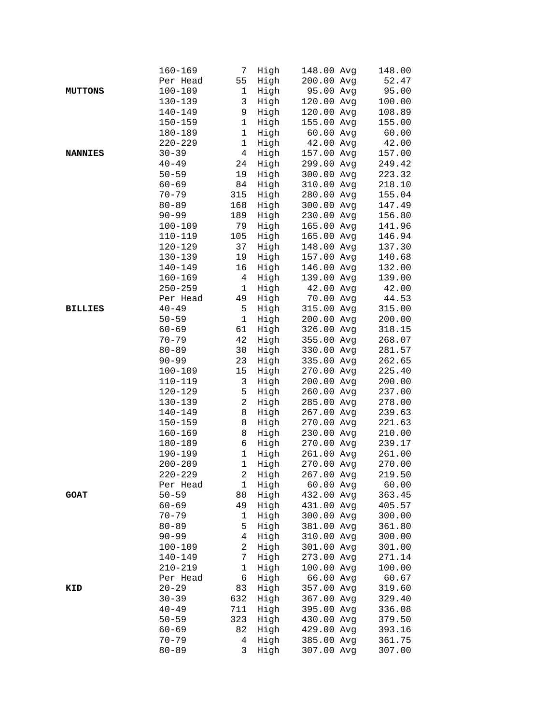|                | $160 - 169$ | 7              | High | 148.00 Avg              | 148.00 |
|----------------|-------------|----------------|------|-------------------------|--------|
|                | Per Head    | 55             | High | 200.00 Avg              | 52.47  |
| <b>MUTTONS</b> | $100 - 109$ | $\mathbf{1}$   | High | 95.00 Avg               | 95.00  |
|                | 130-139     | 3              | High | 120.00 Avg              | 100.00 |
|                | 140-149     | 9              | High | 120.00 Avg              | 108.89 |
|                | $150 - 159$ | $\mathbf 1$    | High | 155.00 Avg              | 155.00 |
|                | 180-189     | $\mathbf 1$    | High | 60.00 Avg               | 60.00  |
|                | $220 - 229$ | $\mathbf 1$    | High | 42.00 Avg               | 42.00  |
| <b>NANNIES</b> | $30 - 39$   | $\overline{4}$ | High | 157.00 Avg              | 157.00 |
|                | $40 - 49$   | 24             | High | 299.00 Avg              | 249.42 |
|                | $50 - 59$   | 19             | High | 300.00 Avg              | 223.32 |
|                | $60 - 69$   | 84             | High | 310.00 Avg              | 218.10 |
|                | $70 - 79$   | 315            | High | 280.00 Avg              | 155.04 |
|                |             |                |      |                         |        |
|                | $80 - 89$   | 168            | High | 300.00 Avg              | 147.49 |
|                | $90 - 99$   | 189            | High | 230.00 Avg              | 156.80 |
|                | $100 - 109$ | 79             | High | 165.00 Avg              | 141.96 |
|                | 110-119     | 105            | High | 165.00 Avg              | 146.94 |
|                | 120-129     | 37             | High | 148.00 Avg              | 137.30 |
|                | 130-139     | 19             | High | 157.00 Avg              | 140.68 |
|                | $140 - 149$ | 16             | High | 146.00 Avg              | 132.00 |
|                | $160 - 169$ | 4              | High | 139.00 Avg              | 139.00 |
|                | $250 - 259$ | $\mathbf 1$    | High | 42.00 Avg               | 42.00  |
|                | Per Head    | 49             | High | 70.00 Avg               | 44.53  |
| <b>BILLIES</b> | $40 - 49$   | 5              | High | 315.00 Avg              | 315.00 |
|                | $50 - 59$   | $\mathbf 1$    | High | 200.00 Avg              | 200.00 |
|                | $60 - 69$   | 61             | High | 326.00 Avg              | 318.15 |
|                | $70 - 79$   | 42             | High | 355.00 Avg              | 268.07 |
|                | $80 - 89$   | 30             | High | 330.00 Avg              | 281.57 |
|                | $90 - 99$   | 23             | High | 335.00 Avg              | 262.65 |
|                | $100 - 109$ | 15             | High | 270.00 Avg              | 225.40 |
|                | 110-119     | 3              | High | 200.00 Avg              | 200.00 |
|                | $120 - 129$ | 5              | High | 260.00 Avg              | 237.00 |
|                | 130-139     | $\overline{a}$ | High | 285.00 Avg              | 278.00 |
|                | $140 - 149$ | 8              | High | 267.00 Avg              | 239.63 |
|                | $150 - 159$ | 8              | High | 270.00 Avg              | 221.63 |
|                | $160 - 169$ | 8              | High | 230.00 Avg              | 210.00 |
|                | 180-189     | 6              | High | 270.00 Avg              | 239.17 |
|                | $190 - 199$ | $\mathbf 1$    | High | 261.00 Avg              | 261.00 |
|                | $200 - 209$ | $\mathbf 1$    | High | 270.00 Avg              | 270.00 |
|                | $220 - 229$ | $\overline{a}$ | High | 267.00 Avg              | 219.50 |
|                |             |                | High |                         | 60.00  |
|                | Per Head    | 1              |      | 60.00 Avg<br>432.00 Avg |        |
| <b>GOAT</b>    | $50 - 59$   | 80             | High |                         | 363.45 |
|                | $60 - 69$   | 49             | High | 431.00 Avg              | 405.57 |
|                | $70 - 79$   | $\mathbf 1$    | High | 300.00 Avg              | 300.00 |
|                | $80 - 89$   | 5              | High | 381.00 Avg              | 361.80 |
|                | $90 - 99$   | 4              | High | 310.00 Avg              | 300.00 |
|                | $100 - 109$ | $\overline{c}$ | High | 301.00 Avg              | 301.00 |
|                | 140-149     | 7              | High | 273.00 Avg              | 271.14 |
|                | $210 - 219$ | $\mathbf 1$    | High | 100.00 Avg              | 100.00 |
|                | Per Head    | 6              | High | 66.00 Avg               | 60.67  |
| KID            | $20 - 29$   | 83             | High | 357.00 Avg              | 319.60 |
|                | $30 - 39$   | 632            | High | 367.00 Avg              | 329.40 |
|                | $40 - 49$   | 711            | High | 395.00 Avg              | 336.08 |
|                | $50 - 59$   | 323            | High | 430.00 Avg              | 379.50 |
|                | $60 - 69$   | 82             | High | 429.00 Avg              | 393.16 |
|                | $70 - 79$   | 4              | High | 385.00 Avg              | 361.75 |
|                | $80 - 89$   | 3              | High | 307.00 Avg              | 307.00 |